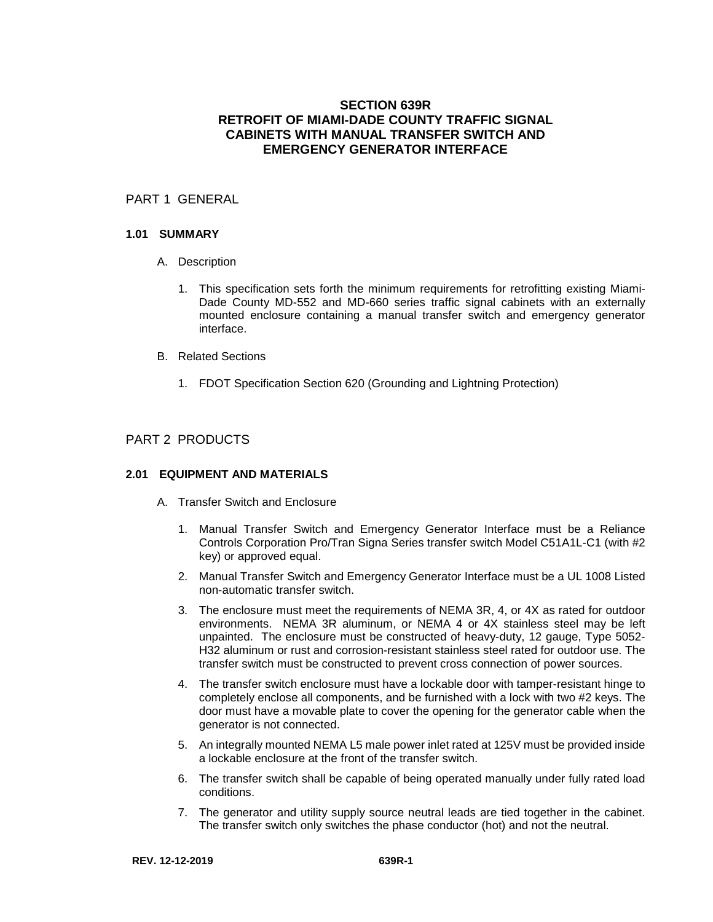# **SECTION 639R RETROFIT OF MIAMI-DADE COUNTY TRAFFIC SIGNAL CABINETS WITH MANUAL TRANSFER SWITCH AND EMERGENCY GENERATOR INTERFACE**

# PART 1 GENERAL

#### **1.01 SUMMARY**

- A. Description
	- 1. This specification sets forth the minimum requirements for retrofitting existing Miami-Dade County MD-552 and MD-660 series traffic signal cabinets with an externally mounted enclosure containing a manual transfer switch and emergency generator interface.
- B. Related Sections
	- 1. FDOT Specification Section 620 (Grounding and Lightning Protection)

### PART 2 PRODUCTS

#### **2.01 EQUIPMENT AND MATERIALS**

- A. Transfer Switch and Enclosure
	- 1. Manual Transfer Switch and Emergency Generator Interface must be a Reliance Controls Corporation Pro/Tran Signa Series transfer switch Model C51A1L-C1 (with #2 key) or approved equal.
	- 2. Manual Transfer Switch and Emergency Generator Interface must be a UL 1008 Listed non-automatic transfer switch.
	- 3. The enclosure must meet the requirements of NEMA 3R, 4, or 4X as rated for outdoor environments. NEMA 3R aluminum, or NEMA 4 or 4X stainless steel may be left unpainted. The enclosure must be constructed of heavy-duty, 12 gauge, Type 5052- H32 aluminum or rust and corrosion-resistant stainless steel rated for outdoor use. The transfer switch must be constructed to prevent cross connection of power sources.
	- 4. The transfer switch enclosure must have a lockable door with tamper-resistant hinge to completely enclose all components, and be furnished with a lock with two #2 keys. The door must have a movable plate to cover the opening for the generator cable when the generator is not connected.
	- 5. An integrally mounted NEMA L5 male power inlet rated at 125V must be provided inside a lockable enclosure at the front of the transfer switch.
	- 6. The transfer switch shall be capable of being operated manually under fully rated load conditions.
	- 7. The generator and utility supply source neutral leads are tied together in the cabinet. The transfer switch only switches the phase conductor (hot) and not the neutral.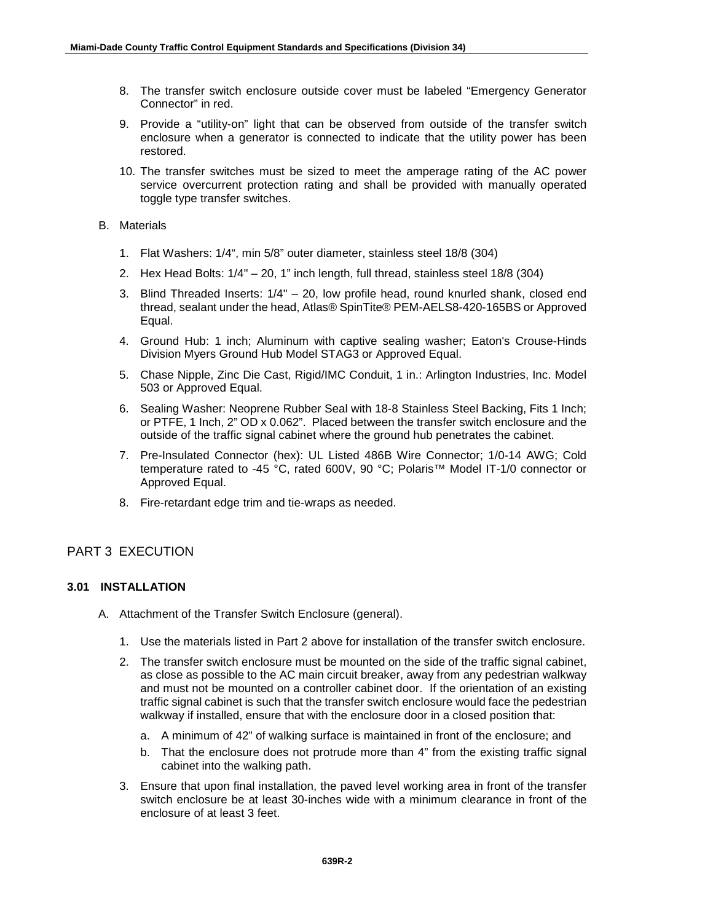- 8. The transfer switch enclosure outside cover must be labeled "Emergency Generator Connector" in red.
- 9. Provide a "utility-on" light that can be observed from outside of the transfer switch enclosure when a generator is connected to indicate that the utility power has been restored.
- 10. The transfer switches must be sized to meet the amperage rating of the AC power service overcurrent protection rating and shall be provided with manually operated toggle type transfer switches.

#### B. Materials

- 1. Flat Washers: 1/4", min 5/8" outer diameter, stainless steel 18/8 (304)
- 2. Hex Head Bolts: 1/4" 20, 1" inch length, full thread, stainless steel 18/8 (304)
- 3. Blind Threaded Inserts: 1/4" 20, low profile head, round knurled shank, closed end thread, sealant under the head, Atlas® SpinTite® PEM-AELS8-420-165BS or Approved Equal.
- 4. Ground Hub: 1 inch; Aluminum with captive sealing washer; Eaton's Crouse-Hinds Division Myers Ground Hub Model STAG3 or Approved Equal.
- 5. Chase Nipple, Zinc Die Cast, Rigid/IMC Conduit, 1 in.: Arlington Industries, Inc. Model 503 or Approved Equal.
- 6. Sealing Washer: Neoprene Rubber Seal with 18-8 Stainless Steel Backing, Fits 1 Inch; or PTFE, 1 Inch, 2" OD x 0.062". Placed between the transfer switch enclosure and the outside of the traffic signal cabinet where the ground hub penetrates the cabinet.
- 7. Pre-Insulated Connector (hex): UL Listed 486B Wire Connector; 1/0-14 AWG; Cold temperature rated to -45 °C, rated 600V, 90 °C; Polaris™ Model IT-1/0 connector or Approved Equal.
- 8. Fire-retardant edge trim and tie-wraps as needed.

# PART 3 EXECUTION

## **3.01 INSTALLATION**

- A. Attachment of the Transfer Switch Enclosure (general).
	- 1. Use the materials listed in Part 2 above for installation of the transfer switch enclosure.
	- 2. The transfer switch enclosure must be mounted on the side of the traffic signal cabinet, as close as possible to the AC main circuit breaker, away from any pedestrian walkway and must not be mounted on a controller cabinet door. If the orientation of an existing traffic signal cabinet is such that the transfer switch enclosure would face the pedestrian walkway if installed, ensure that with the enclosure door in a closed position that:
		- a. A minimum of 42" of walking surface is maintained in front of the enclosure; and
		- b. That the enclosure does not protrude more than 4" from the existing traffic signal cabinet into the walking path.
	- 3. Ensure that upon final installation, the paved level working area in front of the transfer switch enclosure be at least 30-inches wide with a minimum clearance in front of the enclosure of at least 3 feet.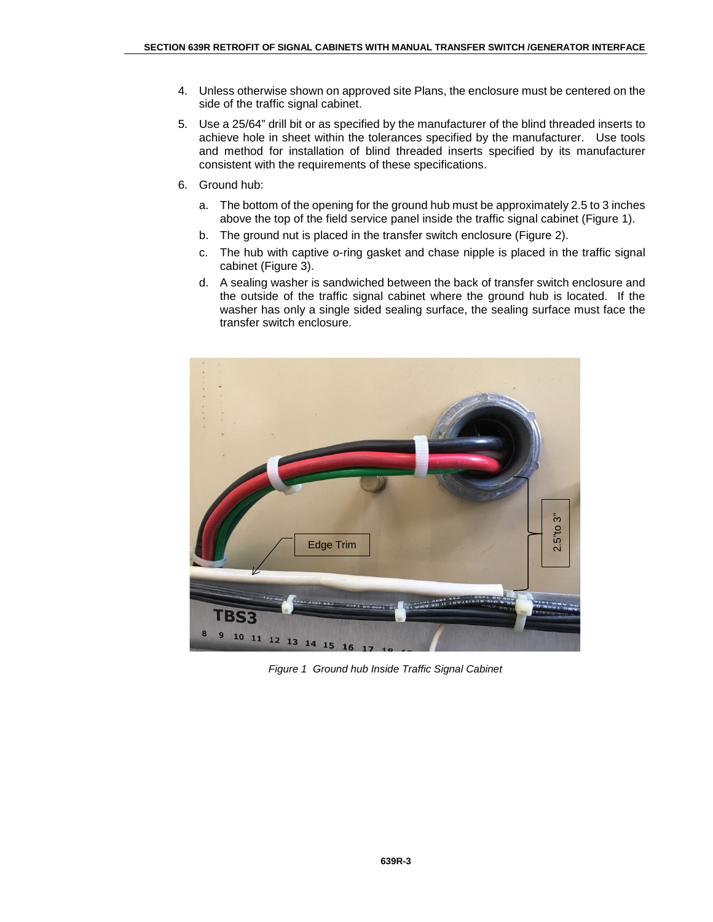- 4. Unless otherwise shown on approved site Plans, the enclosure must be centered on the side of the traffic signal cabinet.
- 5. Use a 25/64" drill bit or as specified by the manufacturer of the blind threaded inserts to achieve hole in sheet within the tolerances specified by the manufacturer. Use tools and method for installation of blind threaded inserts specified by its manufacturer consistent with the requirements of these specifications.
- 6. Ground hub:
	- a. The bottom of the opening for the ground hub must be approximately 2.5 to 3 inches above the top of the field service panel inside the traffic signal cabinet (Figure 1).
	- b. The ground nut is placed in the transfer switch enclosure (Figure 2).
	- c. The hub with captive o-ring gasket and chase nipple is placed in the traffic signal cabinet (Figure 3).
	- d. A sealing washer is sandwiched between the back of transfer switch enclosure and the outside of the traffic signal cabinet where the ground hub is located. If the washer has only a single sided sealing surface, the sealing surface must face the transfer switch enclosure.



*Figure 1 Ground hub Inside Traffic Signal Cabinet*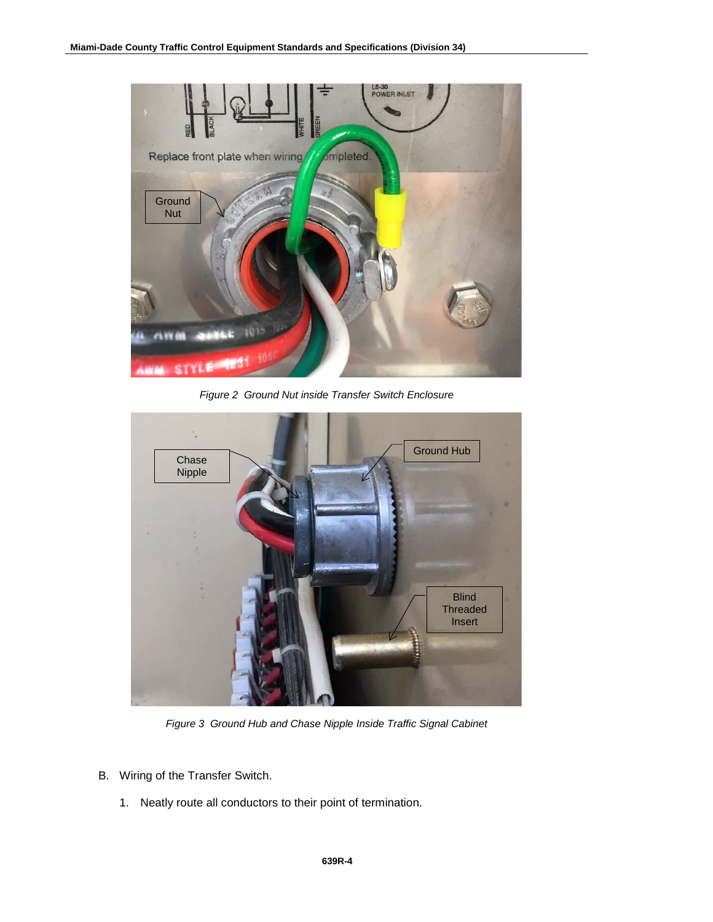

*Figure 2 Ground Nut inside Transfer Switch Enclosure*



*Figure 3 Ground Hub and Chase Nipple Inside Traffic Signal Cabinet*

- B. Wiring of the Transfer Switch.
	- 1. Neatly route all conductors to their point of termination.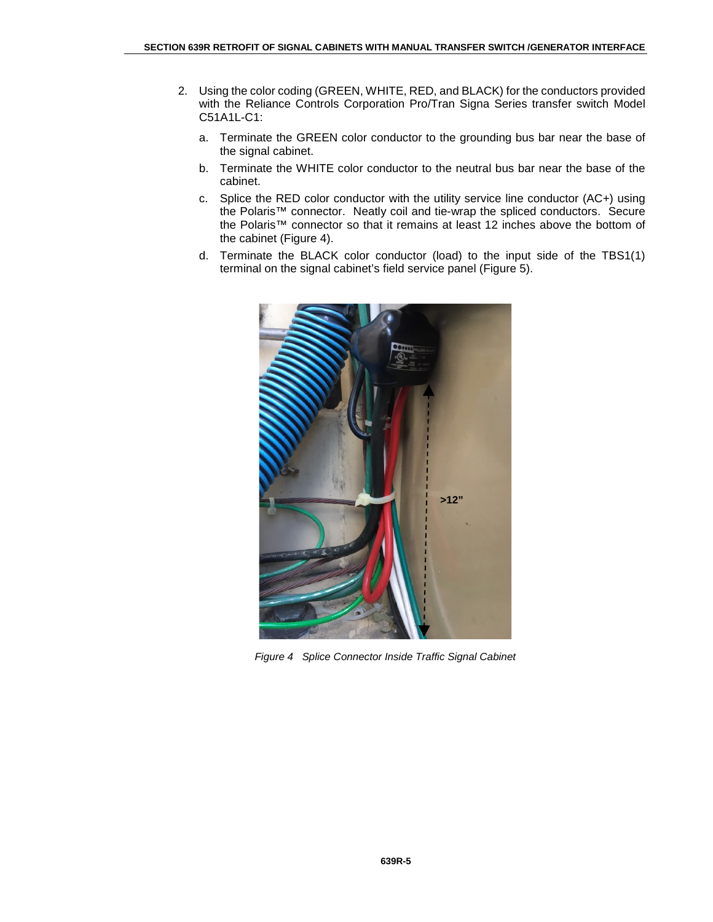- 2. Using the color coding (GREEN, WHITE, RED, and BLACK) for the conductors provided with the Reliance Controls Corporation Pro/Tran Signa Series transfer switch Model C51A1L-C1:
	- a. Terminate the GREEN color conductor to the grounding bus bar near the base of the signal cabinet.
	- b. Terminate the WHITE color conductor to the neutral bus bar near the base of the cabinet.
	- c. Splice the RED color conductor with the utility service line conductor (AC+) using the Polaris™ connector. Neatly coil and tie-wrap the spliced conductors. Secure the Polaris™ connector so that it remains at least 12 inches above the bottom of the cabinet (Figure 4).
	- d. Terminate the BLACK color conductor (load) to the input side of the TBS1(1) terminal on the signal cabinet's field service panel (Figure 5).



*Figure 4 Splice Connector Inside Traffic Signal Cabinet*